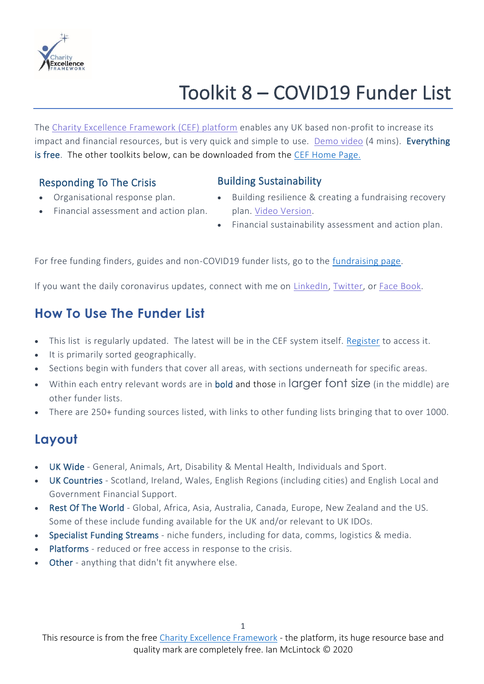

# Toolkit 8 – COVID19 Funder List

The Charity Excellence [Framework](https://www.charityexcellence.co.uk/) (CEF) platform enables any UK based non-profit to increase its impact and financial resources, but is very quick and simple to use. [Demo](https://www.youtube.com/watch?v=epxW6DebUDE) video (4 mins). Everything is free. The other toolkits below, can be downloaded from the [CEF Home Page.](https://www.charityexcellence.co.uk/)

#### Responding To The Crisis **Building Sustainability**

- Organisational response plan.
- Financial assessment and action plan.
- Building resilience & creating a fundraising recovery plan. Video [Version.](https://www.youtube.com/watch?v=kIhTiyH3rLw&t=1s)
- Financial sustainability assessment and action plan.

For free funding finders, guides and non-COVID19 funder lists, go to the [fundraising page.](https://www.charityexcellence.co.uk/Home/FundingFindersResources)

If you want the daily coronavirus updates, connect with me on [LinkedIn,](https://www.linkedin.com/in/ianmclintock/) [Twitter,](https://twitter.com/ian_mcl?lang=en) or Face [Book.](https://www.facebook.com/CharityExcellenceFramework/)

## **How To Use The Funder List**

- This list is regularly updated. The latest will be in the CEF system itself. [Register](https://www.charityexcellence.co.uk/) to access it.
- It is primarily sorted geographically.
- Sections begin with funders that cover all areas, with sections underneath for specific areas.
- Within each entry relevant words are in **bold and those** in **larger font size** (in the middle) are other funder lists.
- There are 250+ funding sources listed, with links to other funding lists bringing that to over 1000.

## **Layout**

- UK Wide General, Animals, Art, Disability & Mental Health, Individuals and Sport.
- UK Countries Scotland, Ireland, Wales, English Regions (including cities) and English Local and Government Financial Support.
- Rest Of The World Global, Africa, Asia, Australia, Canada, Europe, New Zealand and the US. Some of these include funding available for the UK and/or relevant to UK IDOs.
- Specialist Funding Streams niche funders, including for data, comms, logistics & media.
- Platforms reduced or free access in response to the crisis.
- Other anything that didn't fit anywhere else.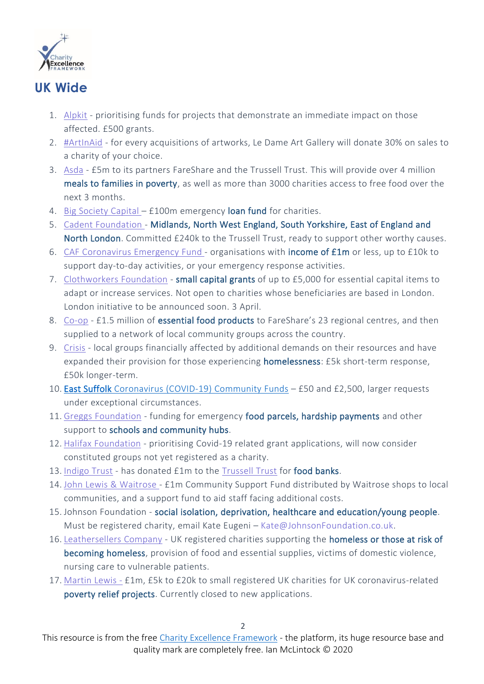

### **UK Wide**

- 1. [Alpkit](https://www.actiontogether.org.uk/alpkit-go-nice-places-do-good-things-grant) prioritising funds for projects that demonstrate an immediate impact on those affected. £500 grants.
- 2. [#ArtInAid](https://ledameartgallery.com/) for every acquisitions of artworks, Le Dame Art Gallery will donate 30% on sales to a charity of your choice.
- 3. [Asda](https://www.trusselltrust.org/2020/03/21/asda-donates-5m-food-banks-community-charities/) £5m to its partners FareShare and the Trussell Trust. This will provide over 4 million meals to families in poverty, as well as more than 3000 charities access to free food over the next 3 months.
- 4. Big [Society](https://www.civilsociety.co.uk/news/big-society-capital-to-create-emergency-loan-fund-for-charities.html#COVID19Foundations) Capital £100m emergency loan fund for charities.
- 5. Cadent [Foundation](https://cadentgas.com/cadent-foundation) Midlands, North West England, South Yorkshire, East of England and North London. Committed £240k to the Trussell Trust, ready to support other worthy causes.
- 6. CAF [Coronavirus](https://www.cafonline.org/charities/grantmaking/caf-coronavirus-emergency-fund) Emergency Fund organisations with income of £1m or less, up to £10k to support day-to-day activities, or your emergency response activities.
- 7. [Clothworkers](https://www.clothworkersfoundation.org.uk/clothworkers-emergency-capital-programme/) Foundation small capital grants of up to £5,000 for essential capital items to adapt or increase services. Not open to charities whose beneficiaries are based in London. London initiative to be announced soon. 3 April.
- 8. [Co-op](https://www.co-operative.coop/media/news-releases/co-op-to-donate-gbp1-5-million-of-food-to-fareshare) £1.5 million of essential food products to FareShare's 23 regional centres, and then supplied to a network of local community groups across the country.
- 9. [Crisis](https://www.crisis.org.uk/get-involved/in-this-together/emergency-grants-fund/) local groups financially affected by additional demands on their resources and have expanded their provision for those experiencing homelessness: £5k short-term response, £50k longer-term.
- 10. East Suffolk [Coronavirus](https://www.eastsuffolk.gov.uk/community/community-grants-and-funding/coronavirus-covid-19-community-funds/) (COVID-19) Community Funds £50 and £2,500, larger requests under exceptional circumstances.
- 11. Greggs [Foundation](https://www.greggsfoundation.org.uk/) funding for emergency food parcels, hardship payments and other support to schools and community hubs.
- 12. Halifax [Foundation](https://supportingcommunities.org/funding-news-1/2020/3/27/covid-related-applications-designed-to-support-the-community-at-this-time-of-crisis-will-be-prioritised-and-turned-around-as-quickly-as-possible) prioritising Covid-19 related grant applications, will now consider constituted groups not yet registered as a charity.
- 13. [Indigo](https://indigotrust.org.uk/2020/03/20/emergency-funding-message/) Trust has donated £1m to the [Trussell](https://www.trusselltrust.org/what-we-do/) Trust for food banks.
- 14. John Lewis & [Waitrose](https://www.retailgazette.co.uk/blog/2020/03/coronavirus-john-lewis-waitrose-launch-1m-community-fund/) £1m Community Support Fund distributed by Waitrose shops to local communities, and a support fund to aid staff facing additional costs.
- 15. Johnson Foundation social isolation, deprivation, healthcare and education/young people. Must be registered charity, email Kate Eugeni – [Kate@JohnsonFoundation.co.uk.](http://mailto:Kate@johnsonfoundation.co.uk/)
- 16. [Leathersellers](https://leathersellers.co.uk/small-grants-programme/) Company UK registered charities supporting the **homeless or those at risk of** becoming homeless, provision of food and essential supplies, victims of domestic violence, nursing care to vulnerable patients.
- 17. [Martin](https://blog.moneysavingexpert.com/2020/03/i-m-making-p1m-available-to-fund-urgent-small-charity-coronaviru/) Lewis £1m, £5k to £20k to small registered UK charities for UK coronavirus-related poverty relief projects. Currently closed to new applications.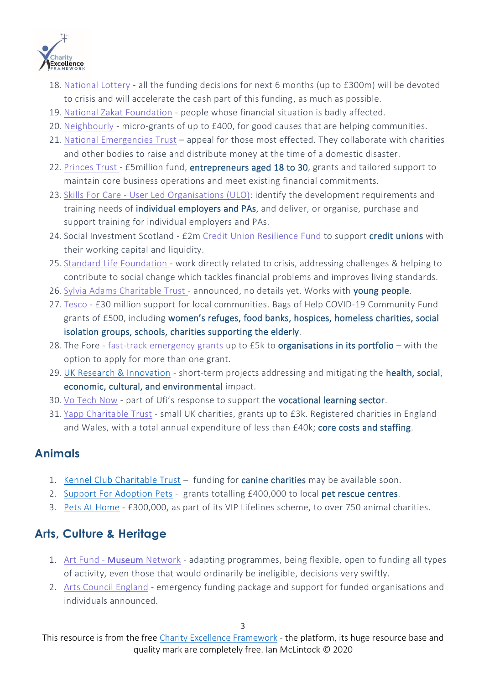

- 18. [National](https://www.tnlcommunityfund.org.uk/news/press-releases/2020-03-27/27-march-statement-from-dawn-austwick-ceo-the-national-lottery-community-fund-covid-19) Lottery all the funding decisions for next 6 months (up to £300m) will be devoted to crisis and will accelerate the cash part of this funding, as much as possible.
- 19. National Zakat [Foundation](https://www.nzf.org.uk/blog/zakat-and-coronavirus/) people whose financial situation is badly affected.
- 20. [Neighbourly](https://www.neighbourly.com/NeighbourlyCommunityFund) micro-grants of up to £400, for good causes that are helping communities.
- 21. National [Emergencies](https://nationalemergenciestrust.org.uk/) Trust appeal for those most effected. They collaborate with charities and other bodies to raise and distribute money at the time of a domestic disaster.
- 22. [Princes](https://www.scotsman.com/health/coronavirus/princes-trust-and-rbs-target-young-entrepreneurs-hit-covid-19-multi-million-fund-2528092) Trust £5million fund, entrepreneurs aged 18 to 30, grants and tailored support to maintain core business operations and meet existing financial commitments.
- 23. Skills For Care User Led [Organisations](https://www.manchestercommunitycentral.org/news/user-led-organisation-funding) (ULO): identify the development requirements and training needs of *individual employers and PAs*, and deliver, or organise, purchase and support training for individual employers and PAs.
- 24. Social Investment Scotland £2m Credit Union [Resilience](https://www.socialinvestmentscotland.com/support/credit-union-resilience-fund/) Fund to support credit unions with their working capital and liquidity.
- 25. Standard Life [Foundation](https://www.standardlifefoundation.org.uk/funding/coronavirus_funding) work directly related to crisis, addressing challenges & helping to contribute to social change which tackles financial problems and improves living standards.
- 26. Sylvia Adams [Charitable](http://sylvia-adams.org.uk/what-we-will-fund/) Trust announced, no details yet. Works with young people.
- 27. [Tesco](https://www.tescoplc.com/news/2020/covid-19-helping-the-communities-we-serve/) £30 million support for local communities. Bags of Help COVID-19 Community Fund grants of £500, including women's refuges, food banks, hospices, homeless charities, social isolation groups, schools, charities supporting the elderly.
- 28. The Fore fast-track [emergency](https://www.thefore.org/news/the-fore-launches-coronavirus-response-fund-for-its-grantees/) grants up to £5k to organisations in its portfolio with the option to apply for more than one grant.
- 29. [UK Research & Innovation](https://www.ukri.org/funding/funding-opportunities/ukri-open-call-for-research-and-innovation-ideas-to-address-covid-19/) short-term projects addressing and mitigating the health, social, economic, cultural, and environmental impact.
- 30. Vo [Tech](https://www.ufi.co.uk/voctech-now-guidelines) Now part of Ufi's response to support the vocational learning sector.
- 31. Yapp [Charitable](https://yappcharitabletrust.org.uk/) Trust small UK charities, grants up to £3k. Registered charities in England and Wales, with a total annual expenditure of less than £40k; core costs and staffing.

## **Animals**

- 1. Kennel Club [Charitable Trust](https://www.thekennelclub.org.uk/our-resources/the-kennel-club-charitable-trust/how-to-apply-for-a-grant/) funding for canine charities may be available soon.
- 2. Support For [Adoption](https://www.supportadoptionforpets.co.uk/) Pets grants totalling £400,000 to local pet rescue centres.
- 3. Pets At [Home](https://www.petsathome.com/shop/en/pets/pet-talk/pets-and-coronavirus-CEO-update) £300,000, as part of its VIP Lifelines scheme, to over 750 animal charities.

## **Arts, Culture & Heritage**

- 1. Art Fund [Museum](https://www.artfund.org/news/2020/03/17/covid-19-message-museum-network-and-grant-holders) Network adapting programmes, being flexible, open to funding all types of activity, even those that would ordinarily be ineligible, decisions very swiftly.
- 2. Arts Council [England](https://www.theartnewspaper.com/news/arts-council-england-announces-coronavirus-coping-strategy-for-struggling-uk-artists-and-institutions) emergency funding package and support for funded organisations and individuals announced.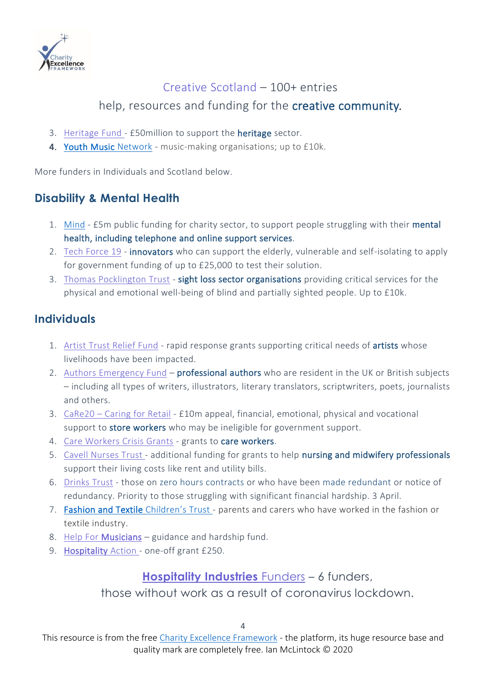

## Creative [Scotland](https://www.creativescotland.com/resources/professional-resources/covid-19-directory) – 100+ entries

help, resources and funding for the creative community.

- 3. [Heritage](https://www.heritagefund.org.uk/news/coronavirus-update) Fund £50million to support the heritage sector.
- 4. [Youth Music](https://network.youthmusic.org.uk/youth-music-launches-emergency-fund) Network music-making organisations; up to £10k.

More funders in Individuals and Scotland below.

## **Disability & Mental Health**

- 1. [Mind](https://www.mind.org.uk/news-campaigns/news/government-announces-support-for-mental-health-during-coronavirus-outbreak/) £5m public funding for charity sector, to support people struggling with their mental health, including telephone and online support services.
- 2. Tech [Force](https://techforce19.uk/) 19 **innovators** who can support the elderly, vulnerable and self-isolating to apply for government funding of up to £25,000 to test their solution.
- 3. Thomas [Pocklington](https://www.pocklington-trust.org.uk/covid-19-emergency-fund-for-the-sight-loss-sector/) Trust sight loss sector organisations providing critical services for the physical and emotional well-being of blind and partially sighted people. Up to £10k.

#### **Individuals**

- 1. Artist Trust [Relief](https://artisttrust.submittable.com/submit/162977/covid-19-artist-trust-relief-fund) Fund rapid response grants supporting critical needs of artists whose livelihoods have been impacted.
- 2. Authors [Emergency](https://www.societyofauthors.org/News/News/2020/March/Authors-Emergency-Fund-announcement) Fund professional authors who are resident in the UK or British subjects – including all types of writers, illustrators, literary translators, scriptwriters, poets, journalists and others.
- 3. [CaRe20](https://www.retail-week.com/people/retail-industry-launches-10m-coronavirus-appeal/7034496.article?authent=1) Caring for Retail £10m appeal, financial, emotional, physical and vocational support to store workers who may be ineligible for government support.
- 4. Care [Workers](https://www.justgiving.com/campaign/coronaviruscareworkersfund) Crisis Grants grants to care workers.
- 5. Cavell [Nurses](https://www.cavellnursestrust.org/?s=coronavirus) Trust additional funding for grants to help nursing and midwifery professionals support their living costs like rent and utility bills.
- 6. [Drinks](https://www.drinkstrust.org.uk/cv19-fund) Trust those on zero hours contracts or who have been made redundant or notice of redundancy. Priority to those struggling with significant financial hardship. 3 April.
- 7. [Fashion and Textile](https://www.ftct.org.uk/support-for-families-affected-by-coronavirus) Children's Trust parents and carers who have worked in the fashion or textile industry.
- 8. Help For [Musicians](https://www.helpmusicians.org.uk/news/latest-news/advice-relating-to-coronavirus-covid-19)  guidance and hardship fund.
- 9. [Hospitality](https://www.hospitalityaction.org.uk/get-help/) Action one-off grant £250.

#### **[Hospitality](https://imbibe.com/news/the-charities-helping-the-hospitality-industry-through-covid-19/) Industries** Funders – 6 funders,

those without work as a result of coronavirus lockdown.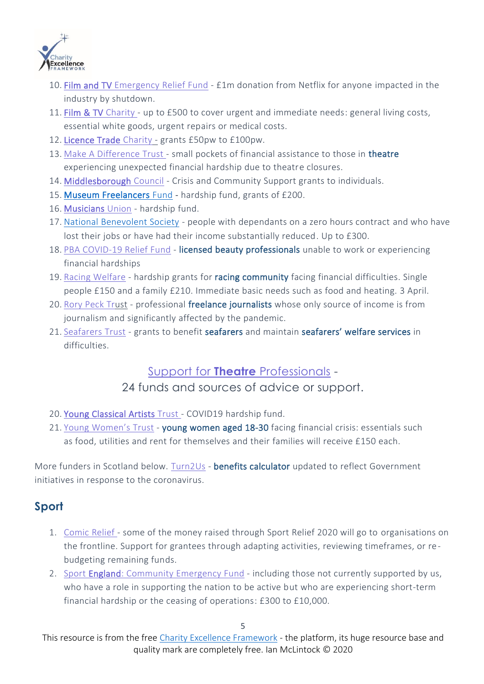

- 10. [Film and TV Emergency](https://www.bfi.org.uk/news-opinion/news-bfi/announcements/covid-19-film-tv-emergency-relief-fund) Relief Fund £1m donation from Netflix for anyone impacted in the industry by shutdown.
- 11. [Film & TV](https://filmtvcharity.org.uk/we-can-help/covid-19-help-and-advice/) Charity up to £500 to cover urgent and immediate needs: general living costs, essential white goods, urgent repairs or medical costs.
- 12. [Licence Trade](https://www.licensedtradecharity.org.uk/coronavirus-advice/) Charity grants £50pw to £100pw.
- 13. Make A [Difference](https://www.madtrust.org.uk/project/make-a-difference-coronavirus-covid-19-hardship-fund/) Trust small pockets of financial assistance to those in theatre experiencing unexpected financial hardship due to theatre closures.
- 14. [Middlesborough](https://www.middlesbrough.gov.uk/community-support-and-safety/community-support-scheme) Council Crisis and Community Support grants to individuals.
- 15. [Museum Freelancers](https://www.gofundme.com/f/museum-freelancers-coronavirus-fund) Fund hardship fund, grants of £200.
- 16. [Musicians](https://www.musiciansunion.org.uk/hardshipfund) Union hardship fund.
- 17. [National Benevolent Society](https://natben.org.uk/emergency-coronavirus-fund) people with dependants on a zero hours contract and who have lost their jobs or have had their income substantially reduced. Up to £300.
- 18. PBA [COVID-19](https://www.probeauty.org/pba-charities/covid-19-relief-fund/landing-covid-19-relief-fund) Relief Fund licensed beauty professionals unable to work or experiencing financial hardships
- 19. Racing [Welfare](https://www.newmarketjournal.co.uk/news/newmarkets-racing-welfare-offers-grants-to-help-racing-workers-during-the-coronavirus-crisis-9105261/) hardship grants for racing community facing financial difficulties. Single people £150 and a family £210. Immediate basic needs such as food and heating. 3 April.
- 20. Rory [Peck](https://rorypecktrust.org/news/covid-19-fund/) Trust professional freelance journalists whose only source of income is from journalism and significantly affected by the pandemic.
- 21. [Seafarers](https://www.seafarerstrust.org/covid-19_grants/) Trust grants to benefit seafarers and maintain seafarers' welfare services in difficulties.

#### Support for **Theatre** [Professionals](https://theatresupport.info/) -

#### 24 funds and sources of advice or support.

- 20. [Young Classical Artists Trust](https://www.ycat.co.uk/appeal/covid-19-hardship-fund) COVID19 hardship fund.
- 21. Young [Women's](https://www.youngwomenstrust.org/what_we_do/media_centre/press_releases/1116_emergency_fund_launched_for_young_women) Trust young women aged 18-30 facing financial crisis: essentials such as food, utilities and rent for themselves and their families will receive £150 each.

More funders in Scotland below. [Turn2Us](https://www.turn2us.org.uk/get-support/Benefits-and-Coronavirus-Sickness) - benefits calculator updated to reflect Government initiatives in response to the coronavirus.

## **Sport**

- 1. [Comic](https://www.comicrelief.com/funding/) Relief some of the money raised through Sport Relief 2020 will go to organisations on the frontline. Support for grantees through adapting activities, reviewing timeframes, or rebudgeting remaining funds.
- 2. Sport England: [Community](https://www.sportengland.org/how-we-can-help/our-funds/community-emergency-fund) Emergency Fund including those not currently supported by us, who have a role in supporting the nation to be active but who are experiencing short-term financial hardship or the ceasing of operations: £300 to £10,000.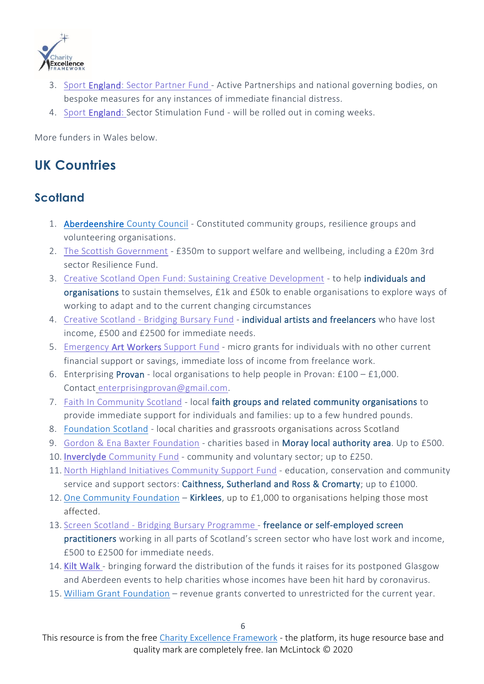

- 3. Sport [England:](https://www.sportengland.org/news/coronavirus-information-sector) Sector Partner Fund Active Partnerships and national governing bodies, on bespoke measures for any instances of immediate financial distress.
- 4. Sport [England:](https://www.sportengland.org/news/coronavirus-information-sector) Sector Stimulation Fund will be rolled out in coming weeks.

More funders in Wales below.

## **UK Countries**

#### **Scotland**

- 1. Aberdeenshire [County Council](https://www.eveningexpress.co.uk/fp/news/local/coronavirus-north-east-support-fund-opened/) Constituted community groups, resilience groups and volunteering organisations.
- 2. The Scottish [Government](https://www.gov.scot/news/helping-communities-affected-by-covid-19/) £350m to support welfare and wellbeing, including a £20m 3rd sector Resilience Fund.
- 3. Creative Scotland Open Fund: Sustaining Creative [Development](https://www.creativescotland.com/funding/funding-programmes/open-fund-sustaining-creative-development) to help individuals and organisations to sustain themselves, £1k and £50k to enable organisations to explore ways of working to adapt and to the current changing circumstances
- 4. Creative [Scotland](https://www.creativescotland.com/funding/funding-programmes/bridging-bursary) Bridging Bursary Fund individual artists and freelancers who have lost income, £500 and £2500 for immediate needs.
- 5. Emergency [Art Workers](https://www.visualartsscotland.org/mediaLibrary/other/english/33401.pdf) Support Fund micro grants for individuals with no other current financial support or savings, immediate loss of income from freelance work.
- 6. Enterprising Provan local organisations to help people in Provan: £100 £1,000. Contact [enterprisingprovan@gmail.com.](http://mailto:enterprisingprovan@gmail.com/)
- 7. Faith In [Community](http://thirdsectordumgal.org.uk/faith-community-scotland-covid/) Scotland local faith groups and related community organisations to provide immediate support for individuals and families: up to a few hundred pounds.
- 8. [Foundation](https://www.foundationscotland.org.uk/programmes/community-response,-recovery-resilience-fund/) Scotland local charities and grassroots organisations across Scotland
- 9. Gordon & Ena Baxter [Foundation](http://www.gebfoundation.com/covid) charities based in Moray local authority area. Up to £500.
- 10. Inverclyde [Community](https://www.inverclydecommunityfund.org/) Fund community and voluntary sector; up to £250.
- 11. North Highland Initiatives [Community](https://eu-west-1.protection.sophos.com/?d=northhighlandinitiative.co.uk&u=aHR0cDovL3d3dy5ub3J0aGhpZ2hsYW5kaW5pdGlhdGl2ZS5jby51ay9jb21tdW5pdHktc3VwcG9ydA==&e=Y2hyaXN0aWUubWNhbHBpbmVAc2N2by5vcmcudWs=&h=c64a690bb0c34080971d077e2e7e4504&t=VGhNMlRGY2h6bkJsUEVHU3FSMFljRkRvQWRRa1dnUHRFZXF1aE9tcnFUST0=) Support Fund education, conservation and community service and support sectors: Caithness, Sutherland and Ross & Cromarty; up to £1000.
- 12. One [Community](https://www.one-community.org.uk/) Foundation Kirklees, up to £1,000 to organisations helping those most affected.
- 13. Screen Scotland Bridging Bursary [Programme](https://www.screen.scot/funding-and-support/screen-scotland-funding/bridging-bursary-programme) freelance or self-employed screen practitioners working in all parts of Scotland's screen sector who have lost work and income, £500 to £2500 for immediate needs.
- 14. [Kilt Walk -](https://www.charitytoday.co.uk/charities-to-receive-kiltwalk-cash-early-to-combat-coronavirus-funding-threat/) bringing forward the distribution of the funds it raises for its postponed Glasgow and Aberdeen events to help charities whose incomes have been hit hard by coronavirus.
- 15. [William Grant Foundation](http://www.williamgrantfoundation.org.uk/) revenue grants converted to unrestricted for the current year.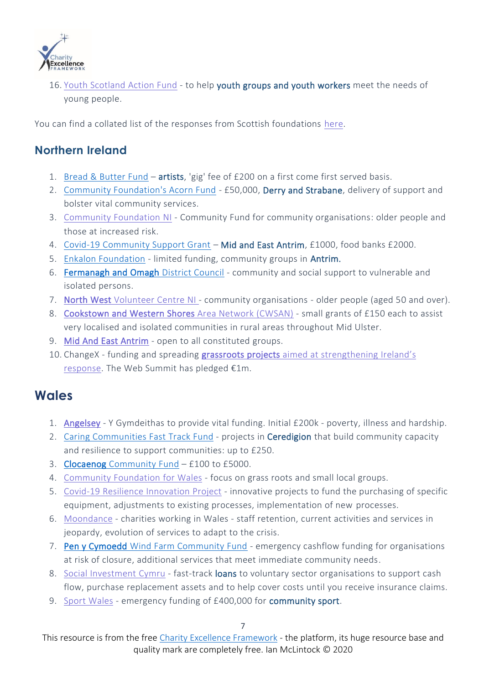

16. Youth [Scotland](http://thirdsectordumgal.org.uk/youth-scotland-action-fund-coronavirus/) Action Fund - to help youth groups and youth workers meet the needs of young people.

You can find a collated list of the responses from Scottish foundations [here.](https://scvo.org/support/coronavirus/funding/funders)

#### **Northern Ireland**

- 1. [Bread & Butter Fund](https://www.gofundme.com/f/emergency-fund-for-artists-affected-by-covid-9) artists, 'gig' fee of £200 on a first come first served basis.
- 2. [Community Foundation's Acorn Fund](https://www.derrynow.com/news/news/532029/50-000-fund-opened-today-in-derry-and-strabane-to-help-groups-providing-vital-community-services-in-the-local-response-to-coronavirus.html) £50,000, Derry and Strabane, delivery of support and bolster vital community services.
- 3. [Community](https://communityfoundationni.org/grants/coronavirus-community-fund/) Foundation NI Community Fund for community organisations: older people and those at increased risk.
- 4. [Covid-19 Community Support Grant](https://www.midandeastantrim.gov.uk/covid-19/grant) Mid and East Antrim, £1000, food banks £2000.
- 5. [Enkalon Foundation](https://www.enkalonfoundation.org/) limited funding, community groups in Antrim.
- 6. [Fermanagh and Omagh](https://supportingcommunities.org/funding-news-1) District Council community and social support to vulnerable and isolated persons.
- 7. [North West Volunteer](https://www.volunteeringnorthwest.co.uk/coronavirus-community-support-fund-for-constituted-organisations) Centre NI community organisations older people (aged 50 and over).
- 8. [Cookstown and Western Shores](https://supportingcommunities.org/funding-news-1/2020/3/30/small-grants-available-in-rural-mid-ulster) Area Network (CWSAN) small grants of £150 each to assist very localised and isolated communities in rural areas throughout Mid Ulster.
- 9. [Mid And East Antrim](https://supportingcommunities.org/funding-news-1) open to all constituted groups.
- 10. ChangeX funding and spreading [grassroots projects](https://www.changex.org/gl) aimed at strengthening Ireland's [response.](https://www.changex.org/gl) The Web Summit has pledged €1m.

## **Wales**

- 1. [Angelsey](https://www.northwaleschronicle.co.uk/news/18352941.charitable-association-anglesey-release-vital-coronavirus-funding-200-000/) Y Gymdeithas to provide vital funding. Initial £200k poverty, illness and hardship.
- 2. Caring [Communities](https://www.cvsc.org.uk/cy/ariannu/clocaenog-cym) Fast Track Fund projects in Ceredigion that build community capacity and resilience to support communities: up to £250.
- 3. [Clocaenog Community](https://www.cvsc.org.uk/cy/ariannu/clocaenog-cym) Fund £100 to £5000.
- 4. [Community](https://communityfoundationwales.org.uk/your-community-and-wales-needs-you/) Foundation for Wales focus on grass roots and small local groups.
- 5. Covid-19 Resilience [Innovation](https://www.grantfinder.co.uk/coronavirus/covid-19-resilience-scheme-launched-for-wales-innovators/) Project innovative projects to fund the purchasing of specific equipment, adjustments to existing processes, implementation of new processes.
- 6. [Moondance](https://www.moondancecovid19relieffund.com/) charities working in Wales staff retention, current activities and services in jeopardy, evolution of services to adapt to the crisis.
- 7. [Pen y Cymoedd Wind Farm Community Fund](https://penycymoeddcic.cymru/community-covid-19-emergency-funding-2/) emergency cashflow funding for organisations at risk of closure, additional services that meet immediate community needs.
- 8. Social [Investment](https://wcva.cymru/emergency-fast-track-loans/) Cymru fast-track loans to voluntary sector organisations to support cash flow, purchase replacement assets and to help cover costs until you receive insurance claims.
- 9. Sport [Wales](https://www.sport.wales/media-centre/latest-news/2020-03-24-400000-emergency-fund-for-sport-announced-by-welsh-government-and-sport-wales/) emergency funding of £400,000 for community sport.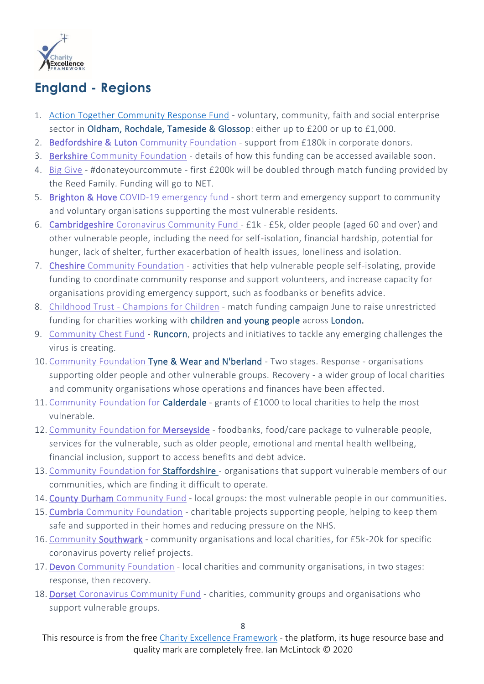

## **England - Regions**

- 1. [Action Together Community Response Fund](https://www.actiontogether.org.uk/action-together-covid-19-community-response-fund-2020) voluntary, community, faith and social enterprise sector in Oldham, Rochdale, Tameside & Glossop: either up to £200 or up to £1,000.
- 2. [Bedfordshire & Luton](https://www.blcf.org.uk/2020/03/23/bedfordshire-coronavirus-emergency-fund/) Community Foundation support from £180k in corporate donors.
- 3. Berkshire [Community](https://www.berkshirecf.org/) Foundation details of how this funding can be accessed available soon.
- 4. Big [Give](https://charitydigital.org.uk/topics/topics/coronavirus-uks-new-homeworkers-urged-to-donateyourcommute--7226) #donateyourcommute first £200k will be doubled through match funding provided by the Reed Family. Funding will go to NET.
- 5. [Brighton & Hove](https://www.brighton-hove.gov.uk/content/life-events-and-communities/community-and-voluntary-sector-support/communities-fund) COVID-19 emergency fund short term and emergency support to community and voluntary organisations supporting the most vulnerable residents.
- 6. [Cambridgeshire](https://www.cambscf.org.uk/cambridgeshire-coronavirus-community-fund.html) Coronavirus Community Fund £1k £5k, older people (aged 60 and over) and other vulnerable people, including the need for self-isolation, financial hardship, potential for hunger, lack of shelter, further exacerbation of health issues, loneliness and isolation.
- 7. Cheshire [Community](http://cheshirecommunityfoundation.org.uk/community-foundation-launches-cheshire-and-warrington-covid-19-response-fund/) Foundation activities that help vulnerable people self-isolating, provide funding to coordinate community response and support volunteers, and increase capacity for organisations providing emergency support, such as foodbanks or benefits advice.
- 8. Childhood Trust [Champions](https://www.childhoodtrust.org.uk/champions-for-children) for Children match funding campaign June to raise unrestricted funding for charities working with children and young people across London.
- 9. [Community](https://www.riverside.org.uk/new-50k-community-chest-fund-launched-to-support-good-causes-and-coronavirus-crisis-in-runcorn/) Chest Fund Runcorn, projects and initiatives to tackle any emerging challenges the virus is creating.
- 10. Community Foundation [Tyne & Wear and N'berland](https://www.communityfoundation.org.uk/coronavirusfund/) Two stages. Response organisations supporting older people and other vulnerable groups. Recovery - a wider group of local charities and community organisations whose operations and finances have been affected.
- 11. [Community](https://www.cffc.co.uk/) Foundation for Calderdale grants of £1000 to local charities to help the most vulnerable.
- 12. [Community](https://cfmerseyside.org.uk/funds/lcr-cares-covid-19-community-support-fund) Foundation for Merseyside foodbanks, food/care package to vulnerable people, services for the vulnerable, such as older people, emotional and mental health wellbeing, financial inclusion, support to access benefits and debt advice.
- 13. Community Foundation [for Staffordshire -](https://staffsfoundation.org.uk/) organisations that support vulnerable members of our communities, which are finding it difficult to operate.
- 14. [County Durham](https://www.cdcf.org.uk/) Community Fund local groups: the most vulnerable people in our communities.
- 15. Cumbria [Community](https://www.cumbriafoundation.org/2020/03/17/community-foundation-launches-cumbria-covid-19-response-fund/) Foundation charitable projects supporting people, helping to keep them safe and supported in their homes and reducing pressure on the NHS.
- 16. [Community](https://communitysouthwark.org/news-jobs-and-events/funding-opportunities/coronavirus-charity-help-fund) Southwark community organisations and local charities, for £5k-20k for specific coronavirus poverty relief projects.
- 17. [Devon Community](http://devoncf.com/give/devon-coronavirus-response-recovery-fund/) Foundation local charities and community organisations, in two stages: response, then recovery.
- 18. Dorset [Coronavirus](https://www.dorsetcommunityfoundation.org/) Community Fund charities, community groups and organisations who support vulnerable groups.

This resource is from the free [Charity Excellence Framework](https://www.charityexcellence.co.uk/) - the platform, its huge resource base and quality mark are completely free. Ian McLintock © 2020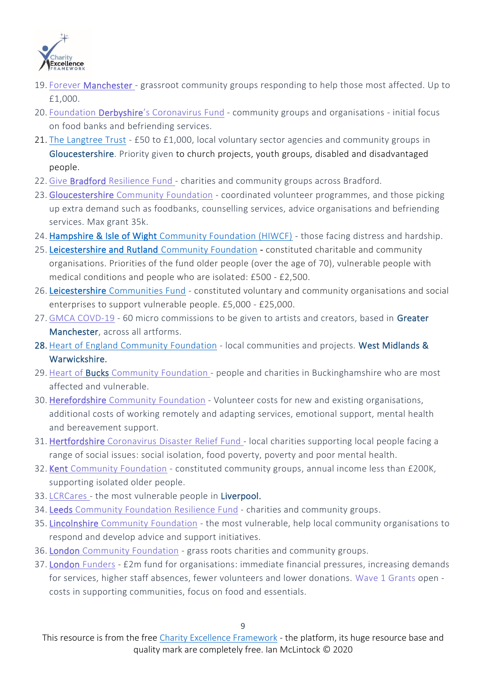

- 19. Forever [Manchester](https://www.salfordcvs.co.uk/forever-manchester-launch-community-support-fund) grassroot community groups responding to help those most affected. Up to £1,000.
- 20. Foundation Derbyshire's [Coronavirus](https://foundationderbyshire.org/) Fund community groups and organisations initial focus on food banks and befriending services.
- 21. [The Langtree Trust](https://www.charitycheckout.co.uk/charity/the-langtree-trust/) £50 to £1,000, local voluntary sector agencies and community groups in Gloucestershire. Priority given to church projects, youth groups, disabled and disadvantaged people.
- 22. Give Bradford [Resilience](https://leedscf.org.uk/general-news/givebradford-resilience-fund-launched) Fund charities and community groups across Bradford.
- 23. [Gloucestershire](https://www.gloucestershirecf.org.uk/gloucestershire-coronavirus-emergency-response-fund) Community Foundation coordinated volunteer programmes, and those picking up extra demand such as foodbanks, counselling services, advice organisations and befriending services. Max grant 35k.
- 24. Hampshire & Isle of Wight [Community Foundation \(HIWCF\)](http://www.hiwcf.com/) those facing distress and hardship.
- 25. [Leicestershire and Rutland Community Foundation](https://www.llrcommunityfoundation.org.uk/apply-for-funds/coronavirus-support-fund-llrcf-net/)  constituted charitable and community organisations. Priorities of the fund older people (over the age of 70), vulnerable people with medical conditions and people who are isolated: £500 - £2,500.
- 26. Leicestershire [Communities Fund](https://www.leicestershirecommunities.org.uk/leicestershire-communities-fund.html) constituted voluntary and community organisations and social enterprises to support vulnerable people. £5,000 - £25,000.
- 27. GMCA [COVD-19](https://www.salfordcvs.co.uk/gmca-covid-19-creative-commissions) 60 micro commissions to be given to artists and creators, based in Greater Manchester, across all artforms.
- 28. Heart of England [Community](https://www.heartofenglandcf.co.uk/) Foundation local communities and projects. West Midlands & Warwickshire.
- 29. Heart of Bucks [Community](https://www.totalgiving.co.uk/appeal/coronavirus-response-appeal) Foundation people and charities in Buckinghamshire who are most affected and vulnerable.
- 30. [Herefordshire](https://www.herefordshirecf.org/) Community Foundation Volunteer costs for new and existing organisations, additional costs of working remotely and adapting services, emotional support, mental health and bereavement support.
- 31. [Hertfordshire](http://www.hertscf.org.uk/coronavirus-disaster-relief-fund-appeal) Coronavirus Disaster Relief Fund local charities supporting local people facing a range of social issues: social isolation, food poverty, poverty and poor mental health.
- 32. Kent [Community](https://kentcf.org.uk/) Foundation constituted community groups, annual income less than £200K, supporting isolated older people.
- 33. [LCRCares](https://uk.virginmoneygiving.com/charity-web/charity/displayCharityCampaignPage.action?charityCampaignUrl=LCRcares) the most vulnerable people in Liverpool.
- 34. [Leeds Community](https://leedscf.org.uk/general-news/resilience-fund-launched-to-support-communities) Foundation Resilience Fund charities and community groups.
- 35. [Lincolnshire](https://lincolnshirecf.co.uk/) Community Foundation the most vulnerable, help local community organisations to respond and develop advice and support initiatives.
- 36. London [Community](https://londoncf.org.uk/) Foundation grass roots charities and community groups.
- 37. London [Funders](https://londonfunders.org.uk/our-blog/new-emergency-support-fund-announced-help-community-and-voluntary-organisations) £2m fund for organisations: immediate financial pressures, increasing demands for services, higher staff absences, fewer volunteers and lower donations. Wave 1 [Grants](https://londoncommunityresponsefund.org.uk/funding/) open costs in supporting communities, focus on food and essentials.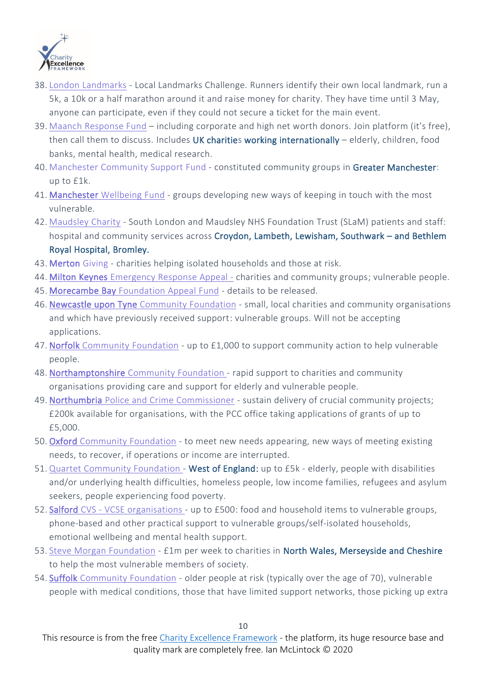

- 38. London [Landmarks](https://www.civilsociety.co.uk/news/london-landmarks-half-marathon-launches-virtual-event-after-postponing-the-race.html) Local Landmarks Challenge. Runners identify their own local landmark, run a 5k, a 10k or a half marathon around it and raise money for charity. They have time until 3 May, anyone can participate, even if they could not secure a ticket for the main event.
- 39. Maanch [Response](https://maanch.com/outreach/covid-19) Fund including corporate and high net worth donors. Join platform (it's free), then call them to discuss. Includes UK charities working internationally - elderly, children, food banks, mental health, medical research.
- 40. [Manchester](https://www.manchestercommunitycentral.org/news/forever-manchester-community-support-fund) Community Support Fund constituted community groups in Greater Manchester: up to £1k.
- 41. [Manchester Wellbeing](https://www.manchestercommunitycentral.org/news/manchester-wellbeing-fund-%E2%80%93-fast-track-grants) Fund groups developing new ways of keeping in touch with the most vulnerable.
- 42. [Maudsley](https://maudsleycharity.org/whats-on/covid-19-emergency-appeal-to-support-nhs-staff-and-patients/) Charity South London and Maudsley NHS Foundation Trust (SLaM) patients and staff: hospital and community services across Croydon, Lambeth, Lewisham, Southwark - and Bethlem Royal Hospital, Bromley.
- 43. [Merton](https://www.mvsc.co.uk/merton-giving) Giving charities helping isolated households and those at risk.
- 44. [Milton Keynes](https://www.mkcommunityfoundation.co.uk/) Emergency Response Appeal charities and community groups; vulnerable people.
- 45. [Morecambe Bay](http://lancastercvs.org.uk/covid-19-coronavirus-information-and-advice/) Foundation Appeal Fund details to be released.
- 46. [Newcastle upon Tyne Community](https://www.communityfoundation.org.uk/coronavirusfund/#which-organisations-will-be-eligible-for-support) Foundation small, local charities and community organisations and which have previously received support: vulnerable groups. Will not be accepting applications.
- 47. Norfolk [Community](https://www.norfolkfoundation.com/funding-support/grants/groups/covid-19-community-response-fund/) Foundation up to £1,000 to support community action to help vulnerable people.
- 48. [Northamptonshire](http://www.ncf.uk.com/net-appeal-) Community Foundation rapid support to charities and community organisations providing care and support for elderly and vulnerable people.
- 49. Northumbria Police and Crime [Commissioner](https://www.chroniclelive.co.uk/news/north-east-news/police-chief-launches-emergency-fund-18011109) sustain delivery of crucial community projects; £200k available for organisations, with the PCC office taking applications of grants of up to £5,000.
- 50. Oxford [Community](https://oxfordshire.org/) Foundation to meet new needs appearing, new ways of meeting existing needs, to recover, if operations or income are interrupted.
- 51. Quartet [Community](https://quartetcf.org.uk/grant-programmes/coronavirus-response-fund/) Foundation West of England: up to £5k elderly, people with disabilities and/or underlying health difficulties, homeless people, low income families, refugees and asylum seekers, people experiencing food poverty.
- 52. Salford CVS VCSE [organisations](https://www.salfordcvs.co.uk/live-grants) up to £500: food and household items to vulnerable groups, phone-based and other practical support to vulnerable groups/self-isolated households, emotional wellbeing and mental health support.
- 53. Steve Morgan [Foundation](https://stevemorganfoundation.org.uk/morgan-pledges-1million-a-week-to-charities-hit-by-coronavirus/) £1m per week to charities in North Wales, Merseyside and Cheshire to help the most vulnerable members of society.
- 54. Suffolk [Community](https://www.suffolkcf.org.uk/in-response-to-the-coronavirus-threat-suffolk-community-foundation-launches-local-appeal/) Foundation older people at risk (typically over the age of 70), vulnerable people with medical conditions, those that have limited support networks, those picking up extra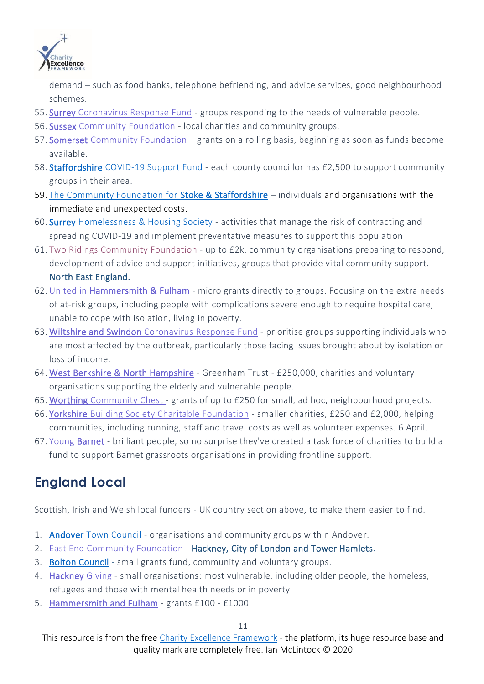

demand – such as food banks, telephone befriending, and advice services, good neighbourhood schemes.

- 55. Surrey [Coronavirus](https://www.cfsurrey.org.uk/surreycoronavirusresponsefund/) Response Fund groups responding to the needs of vulnerable people.
- 56. [Sussex Community](https://sussexgiving.org.uk/sussex-crisis-fund-launched/) Foundation local charities and community groups.
- 57. Somerset [Community](https://www.somersetcf.org.uk/news/361/73/Somerset-Community-Foundation-s-response-to-COVID-19) Foundation grants on a rolling basis, beginning as soon as funds become available.
- 58. [Staffordshire COVID-19 Support Fund](https://www.staffordshire.gov.uk/Newsroom/Articles/2020/04-April/New-fund-launches-to-help-communities-affected-by-Coronavirus.aspx) each county councillor has £2,500 to support community groups in their area.
- 59. [The Community Foundation for Stoke & Staffordshire](https://staffsfoundation.org.uk/grants/covid-19-emergency-grants/) individuals and organisations with the immediate and unexpected costs.
- 60. Surrey [Homelessness & Housing Society](https://surreyhomeless.ca/news/2020/03/surrey-homelessness-housing-society-responsive-grant-program/) activities that manage the risk of contracting and spreading COVID-19 and implement preventative measures to support this population
- 61. Two Ridings [Community](https://www.tworidingscf.org.uk/fund/coronavirus-community-fund/) Foundation up to £2k, community organisations preparing to respond, development of advice and support initiatives, groups that provide vital community support. North East England.
- 62. United in [Hammersmith & Fulham](https://unitedhf.org/join-us/covidhf/)  micro grants directly to groups. Focusing on the extra needs of at-risk groups, including people with complications severe enough to require hospital care, unable to cope with isolation, living in poverty.
- 63. [Wiltshire and Swindon Coronavirus](https://www.wiltshirecf.org.uk/Coronavirus%20Fund) Response Fund prioritise groups supporting individuals who are most affected by the outbreak, particularly those facing issues brought about by isolation or loss of income.
- 64. [West Berkshire & North Hampshire](https://fundraising.co.uk/2020/03/23/greenham-trust-offers-250000-covid-19-emergency-funding/)  Greenham Trust £250,000, charities and voluntary organisations supporting the elderly and vulnerable people.
- 65. Worthing [Community](https://www.worthingherald.co.uk/health/coronavirus-worthing-charity-offers-grants-ps250-neighbourhood-projects-supporting-vulnerable-2503054) Chest grants of up to £250 for small, ad hoc, neighbourhood projects.
- 66. Yorkshire Building Society Charitable [Foundation](https://www.keighleynews.co.uk/news/18351227.coronavirus-fund-launched-support-small-charities/) smaller charities, £250 and £2,000, helping communities, including running, staff and travel costs as well as volunteer expenses. 6 April.
- 67. Young [Barnet -](https://www.youngbarnetfoundation.org.uk/coronavirus) brilliant people, so no surprise they've created a task force of charities to build a fund to support Barnet grassroots organisations in providing frontline support.

## **England Local**

Scottish, Irish and Welsh local funders - UK country section above, to make them easier to find.

- 1. Andover [Town Council](https://andover-tc.gov.uk/coronavirus/emergency-funding-for-organisations) organisations and community groups within Andover.
- 2. East End [Community](https://www.charitytoday.co.uk/emergency-covid-19-appeal-launched-with-50k-donation-in-londons-east-end/) Foundation Hackney, City of London and Tower Hamlets.
- 3. [Bolton Council](https://www.bolton.gov.uk/community-advice-grants/community-grants)  small grants fund, community and voluntary groups.
- 4. [Hackney](https://www.hackneycitizen.co.uk/2020/03/26/hackney-giving-fundraising-appeal-coronavirus-response-fund/) Giving small organisations: most vulnerable, including older people, the homeless, refugees and those with mental health needs or in poverty.
- 5. [Hammersmith and Fulham](https://unitedhf.org/grants/apply/covidhf/) grants £100 £1000.

#### 11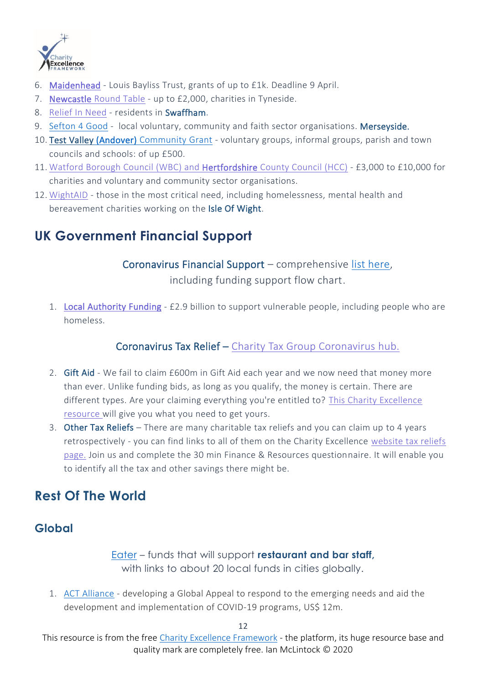

- 6. [Maidenhead](https://www.maidenhead-advertiser.co.uk/listings/charities-and-charitable-organisations/90626/The-Louis-Baylis-Charitable-Trust.html) Louis Bayliss Trust, grants of up to £1k. Deadline 9 April.
- 7. [Newcastle](https://voda.org.uk/covid-19-charity-response-funding-from-newcastle-round-table/) Round Table up to £2,000, charities in Tyneside.
- 8. [Relief](https://www.lynnnews.co.uk/news/coronavirus-funding-available-through-grants-as-trustee-urges-swaffham-residents-to-apply-9104202/) In Need residents in Swaffham.
- 9. [Sefton](https://sefton4good.org.uk/2020/03/25/appeal-donate-to-sefton-4-good-support-vital-initiatives-in-response-to-the-covid-19-outbreak/) 4 Good local voluntary, community and faith sector organisations. Merseyside.
- 10. Test Valley [\(Andover\) Community](https://www.testvalley.gov.uk/communityandleisure/workingwithcommunities/covid-19-emergency-response-community-grant) Grant voluntary groups, informal groups, parish and town councils and schools: of up £500.
- 11. Watford Borough Council (WBC) and [Hertfordshire](https://www.mynewsmag.co.uk/act-fast-coronavirus-emergency-support-funding-made-available-for-charities-and-community-groups/) County Council (HCC) £3,000 to £10,000 for charities and voluntary and community sector organisations.
- 12. [WightAID](https://www.islandecho.co.uk/grant-support-for-charities-working-at-the-forefront-of-coronavirus-crisis/) those in the most critical need, including homelessness, mental health and bereavement charities working on the Isle Of Wight.

## **UK Government Financial Support**

Coronavirus Financial Support – comprehensive [list here,](https://www.crowe.com/uk/croweuk/insights/coronavirus)

including funding support flow chart.

1. [Local Authority Funding](https://fundraising.co.uk/2020/03/24/2-9-billion-available-for-local-authorities-to-support-vulnerable-people/) - £2.9 billion to support vulnerable people, including people who are homeless.

#### Coronavirus Tax Relief – Charity Tax Group [Coronavirus](https://www.charitytaxgroup.org.uk/news-post/2020/coronavirus-information-hub-charity-tax-finance-professionals/) hub.

- 2. Gift Aid We fail to claim £600m in Gift Aid each year and we now need that money more than ever. Unlike funding bids, as long as you qualify, the money is certain. There are different types. Are your claiming everything you're entitled to? This Charity [Excellence](https://www.linkedin.com/pulse/each-year-we-fail-claim-600m-gift-aid-heres-how-get-ian-mclintock/) [resource](https://www.linkedin.com/pulse/each-year-we-fail-claim-600m-gift-aid-heres-how-get-ian-mclintock/) will give you what you need to get yours.
- 3. Other Tax Reliefs There are many charitable tax reliefs and you can claim up to 4 years retrospectively - you can find links to all of them on the Charity Excellence [website](https://www.charityexcellence.co.uk/Home/TaxReliefs) tax reliefs [page.](https://www.charityexcellence.co.uk/Home/TaxReliefs) Join us and complete the 30 min Finance & Resources questionnaire. It will enable you to identify all the tax and other savings there might be.

## **Rest Of The World**

## **Global**

[Eater](https://www.eater.com/2020/3/17/21182293/coronavirus-relief-funds-restaurants-food-service-workers) – funds that will support **restaurant and bar staff,** with links to about 20 local funds in cities globally.

1. [ACT Alliance](https://actalliance.org/appeals-rapid-response-funds/global-act-alliance-global-response-to-the-covid-19-pandemic-act201/) - developing a Global Appeal to respond to the emerging needs and aid the development and implementation of COVID-19 programs, US\$ 12m.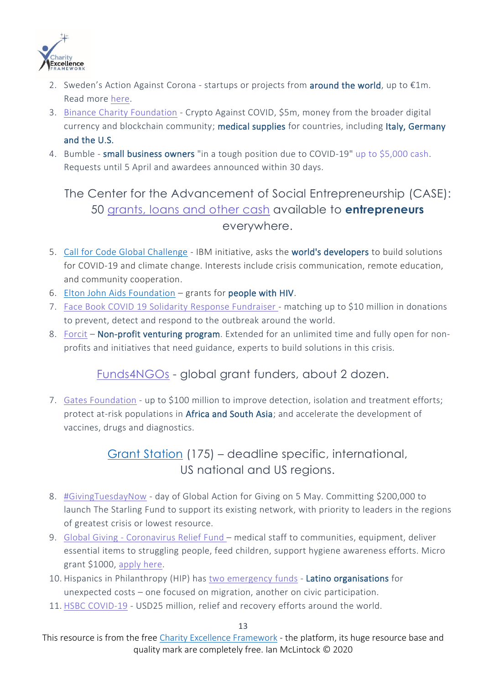

- 2. Sweden's Action Against Corona startups or projects from **around the world**, up to  $\epsilon$ 1m. Read more [here.](https://www.pioneerspost.com/news-views/20200319/fast-track-grants-of-1m-offered-projects-tackling-effects-of-covid-19)
- 3. Binance Charity [Foundation](https://www.binance.com/en/blog/421499824684900478/Binance-Charity-Initiates-$5-Million-Coronavirus-Relief-Campaign-with-Donation-Matching-Commitment) Crypto Against COVID, \$5m, money from the broader digital currency and blockchain community; medical supplies for countries, including Italy, Germany and the U.S.
- 4. Bumble small business owners "in a tough position due to COVID-19" up to [\\$5,000](https://twitter.com/bumble/status/1242459840116637698) cash. Requests until 5 April and awardees announced within 30 days.

## The Center for the Advancement of Social Entrepreneurship (CASE): 50 [grants,](https://www.appsheet.com/start/b623f7ad-9fc1-4f97-9d0e-f44983032d2a#appName=COVIDResource-1340872&group=%5B%5D&page=card&sort=%5B%7B%22Column%22%3A%22Host+Organization%22%2C%22Order%22%3A%22Ascending%22%7D%5D&table=) loans and other cash available to **entrepreneurs** everywhere.

- 5. [Call for Code Global Challenge](https://developer.ibm.com/callforcode/getstarted/covid-19/) IBM initiative, asks the world's developers to build solutions for COVID-19 and climate change. Interests include crisis communication, remote education, and community cooperation.
- 6. [Elton John Aids Foundation](http://ejaf.org/) grants for people with HIV.
- 7. Face Book COVID 19 Solidarity Response [Fundraiser](https://www.facebook.com/donate/1564752357011737/10111653413088551/) matching up to \$10 million in donations to prevent, detect and respond to the outbreak around the world.
- 8. [Forcit](https://www.forcit.co/nonprofitventuringprogram) Non-profit venturing program. Extended for an unlimited time and fully open for nonprofits and initiatives that need guidance, experts to build solutions in this crisis.

## [Funds4NGOs](https://www2.fundsforngos.org/listing/grant-opportunities-to-tackle-the-coronavirus-outbreak/) - global grant funders, about 2 dozen.

7. Gates Foundation - up to \$100 million to improve detection, isolation and treatment efforts; protect at-risk populations in Africa and South Asia; and accelerate the development of vaccines, drugs and diagnostics.

## [Grant Station](https://grantstation.com/covid19fundingsopps) (175) – deadline specific, international, US national and US regions.

- 8. [#GivingTuesdayNow](https://www.givingtuesday.org/blog/2020/03/givingtuesday-announces-day-global-action-giving-and-unity-response-covid-19) day of Global Action for Giving on 5 May. Committing \$200,000 to launch The Starling Fund to support its existing network, with priority to leaders in the regions of greatest crisis or lowest resource.
- 9. Global Giving [Coronavirus](https://www.globalgiving.org/projects/coronavirus-relief-fund/) Relief Fund medical staff to communities, equipment, deliver essential items to struggling people, feed children, support hygiene awareness efforts. Micro grant \$1000, [apply](https://docs.google.com/forms/d/e/1FAIpQLScs286zJo3XStUA7Ad6FMfz2PIBKwqPByAMaIvDSWAsAIhm6A/viewform) here.
- 10. Hispanics in Philanthropy (HIP) has two [emergency](https://hiponline.org/hip-announces-two-emergency-funds-in-response-to-covid-19-pandemic/) funds Latino organisations for unexpected costs – one focused on migration, another on civic participation.
- 11. HSBC [COVID-19](https://www.hsbc.com/news-and-insight/2020/hsbc-announces-covid-19-donation-fund) USD25 million, relief and recovery efforts around the world.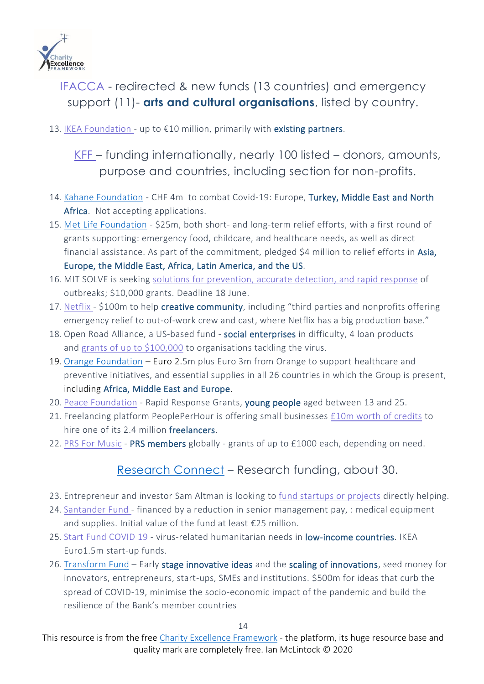

## [IFACCA](https://ifacca.org/media/filer_public/54/12/541271ad-fdeb-4cb7-869e-a11e9eb978bb/responses_to_covid-19_-_30_march_2020_english.pdf) - redirected & new funds (13 countries) and emergency support (11)- **arts and cultural organisations**, listed by country.

13. IKEA [Foundation](https://ikeafoundation.org/) - up to  $E10$  million, primarily with existing partners.

[KFF](https://www.kff.org/global-health-policy/issue-brief/donor-funding-for-the-global-novel-coronavirus-response/) – funding internationally, nearly 100 listed – donors, amounts, purpose and countries, including section for non-profits.

- 14. [Kahane Foundation](Kahane%20Foundation%20has%20committed%20CHF%204%20Million%20to%20combat%20the%20impact%20of%20Covid-19%20within%20its%20geographic%20regions%20of%20focus.) CHF 4m to combat Covid-19: Europe, Turkey, Middle East and North Africa. Not accepting applications.
- 15. Met Life [Foundation](http://philanthropynewsdigest.org/news/metlife-foundation-commits-25-million-to-covid-19-relief-efforts) \$25m, both short- and long-term relief efforts, with a first round of grants supporting: emergency food, childcare, and healthcare needs, as well as direct financial assistance. As part of the commitment, pledged \$4 million to relief efforts in Asia, Europe, the Middle East, Africa, Latin America, and the US.
- 16. MIT SOLVE is seeking solutions for [prevention,](https://solve.mit.edu/challenges/health-security-pandemics) accurate detection, and rapid response of outbreaks; \$10,000 grants. Deadline 18 June.
- 17. [Netflix](https://faroutmagazine.co.uk/netflix-100-million-charitable-fund-coronavirus/) \$100m to help creative community, including "third parties and nonprofits offering emergency relief to out-of-work crew and cast, where Netflix has a big production base."
- 18. Open Road Alliance, a US-based fund social enterprises in difficulty, 4 loan products and grants of up to [\\$100,000](https://openroadalliance.org/covid-19/) to organisations tackling the virus.
- 19. [Orange Foundation](https://www.orange.com/en/Press-Room/press-releases/press-releases-2020/Coronavirus-Orange-sets-up-8-million-euro-crisis-fund-in-Europe-Africa-and-the-Middle-East) Euro 2.5m plus Euro 3m from Orange to support healthcare and preventive initiatives, and essential supplies in all 26 countries in which the Group is present, including Africa, Middle East and Europe.
- 20. Peace [Foundation](https://www.clgf.org.uk/whats-new/news/global-fund-for-youth-to-tackle-effects-of-covid-19/) Rapid Response Grants, young people aged between 13 and 25.
- 21. Freelancing platform PeoplePerHour is offering small businesses £10m worth of [credits](https://www.peopleperhour.com/blog/buyers/10m-pledge-for-freelancers-small-businesses/) to hire one of its 2.4 million freelancers.
- 22. PRS For [Music](https://www.prsformusic.com/c/emergency-relief-fund) PRS members globally grants of up to £1000 each, depending on need.

#### [Research Connect](https://www.researchconnect.eu/coronavirus/) – Research funding, about 30.

- 23. Entrepreneur and investor Sam Altman is looking to fund [startups](https://blog.samaltman.com/funding-for-covid-19-projects) or projects directly helping.
- 24. [Santander](https://www.santander.com/en/press-room/press-releases/to-support-the-fight-against-coronavirus-santander-board-to-review-2020-dividend-and-cut-senior-management-and-board-compensation) Fund financed by a reduction in senior management pay, : medical equipment and supplies. Initial value of the fund at least €25 million.
- 25. Start Fund [COVID](https://startnetwork.org/news-and-blogs/new-covid-19-fund-launched-help-vulnerable-communities-low-income-countries) 19 virus-related humanitarian needs in low-income countries. IKEA Euro1.5m start-up funds.
- 26. [Transform](https://www.isdb.org/news/islamic-development-bank-to-support-pioneering-ideas-in-the-fight-against-covid-19-via-500m-transform-fund) Fund Early stage innovative ideas and the scaling of innovations, seed money for innovators, entrepreneurs, start-ups, SMEs and institutions. \$500m for ideas that curb the spread of COVID-19, minimise the socio-economic impact of the pandemic and build the resilience of the Bank's member countries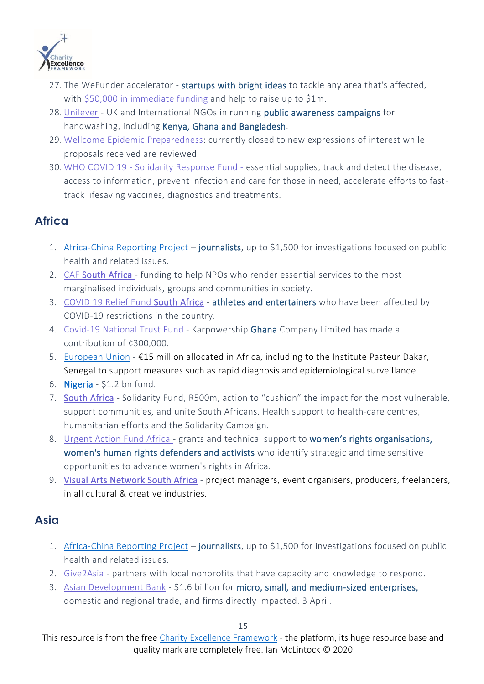

- 27. The WeFunder accelerator startups with bright ideas to tackle any area that's affected, with \$50,000 in [immediate](https://wefunder.com/virus) funding and help to raise up to \$1m.
- 28. [Unilever](https://www.cosmeticsdesign-europe.com/Article/2020/03/27/Unilever-partners-with-UK-government-on-56bn-hygiene-campaign) UK and International NGOs in running public awareness campaigns for handwashing, including Kenya, Ghana and Bangladesh.
- 29. Wellcome Epidemic [Preparedness:](https://wellcome.ac.uk/grant-funding/schemes/epidemic-preparedness-covid-19) currently closed to new expressions of interest while proposals received are reviewed.
- 30. WHO COVID 19 Solidarity [Response](https://www.who.int/emergencies/diseases/novel-coronavirus-2019/donate) Fund essential supplies, track and detect the disease, access to information, prevent infection and care for those in need, accelerate efforts to fasttrack lifesaving vaccines, diagnostics and treatments.

#### **Africa**

- 1. [Africa-China Reporting Project](https://africachinareporting.co.za/2020/03/call-for-applications-public-health-reporting-grants-2020/) journalists, up to \$1,500 for investigations focused on public health and related issues.
- 2. CAF [South Africa -](https://www.bizcommunity.com/Article/196/849/202319.html) funding to help NPOs who render essential services to the most marginalised individuals, groups and communities in society.
- 3. COVID 19 Relief Fund [South Africa](https://www.musicinafrica.net/magazine/call-applications-covid-19-relief-fund-sa-creatives) athletes and entertainers who have been affected by COVID-19 restrictions in the country.
- 4. [Covid-19](https://www.myjoyonline.com/news/national/karpowership-ghana-donates-%C2%A2300k-to-covid-19-national-trust-fund/) National Trust Fund Karpowership Ghana Company Limited has made a contribution of ¢300,000.
- 5. [European Union](https://ec.europa.eu/commission/presscorner/detail/en/qanda_20_307) €15 million allocated in Africa, including to the Institute Pasteur Dakar, Senegal to support measures such as rapid diagnosis and epidemiological surveillance.
- 6. **[Nigeria](https://www.bloomberg.com/news/articles/2020-04-04/nigeria-plans-1-2-billion-coronavirus-fund-to-curtail-spread)**  $$1.2$  bn fund.
- 7. [South Africa](https://www.iol.co.za/the-star/news/covid-19-solidarity-fund-raises-r500m-in-a-week-45812607) Solidarity Fund, R500m, action to "cushion" the impact for the most vulnerable, support communities, and unite South Africans. Health support to health-care centres, humanitarian efforts and the Solidarity Campaign.
- 8. [Urgent](https://www.uaf-africa.org/) Action Fund Africa grants and technical support to women's rights organisations, women's human rights defenders and activists who identify strategic and time sensitive opportunities to advance women's rights in Africa.
- 9. [Visual Arts Network South Africa](https://vansa.co.za/opportunities/covid-19-sport-arts-and-culture-relief-fund/) project managers, event organisers, producers, freelancers, in all cultural & creative industries.

#### **Asia**

- 1. [Africa-China Reporting Project](https://africachinareporting.co.za/2020/03/call-for-applications-public-health-reporting-grants-2020/) journalists, up to \$1,500 for investigations focused on public health and related issues.
- 2. [Give2Asia](https://give2asia.org/help-support-coronavirus-outbreak-prevention-wuhan-china/) partners with local nonprofits that have capacity and knowledge to respond.
- 3. Asian [Development](https://www.adb.org/news/adb-announces-6-5-billion-initial-response-covid-19-pandemic) Bank \$1.6 billion for micro, small, and medium-sized enterprises, domestic and regional trade, and firms directly impacted. 3 April.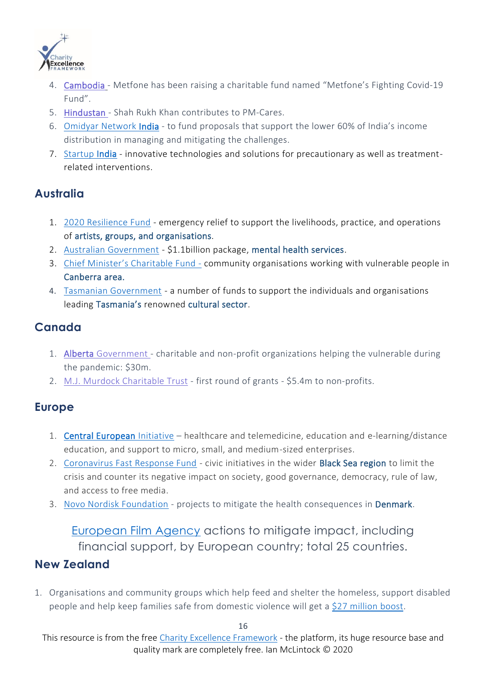

- 4. [Cambodia](https://www.khmertimeskh.com/50709420/a-charitable-fighting-covid-19-fund-has-been-raised-by-metfone-amid-the-pandemic/) Metfone has been raising a charitable fund named "Metfone's Fighting Covid-19 Fund".
- 5. [Hindustan](https://www.hindustantimes.com/bollywood/shah-rukh-khan-contributes-to-pm-cares-other-covid-19-relief-funds-this-is-a-start/story-GTKLYn0opwZ0fu7E3e82ZP.html) Shah Rukh Khan contributes to PM-Cares.
- 6. Omidyar [Network](https://www.omidyarnetwork.in/blog/omidyar-network-india-announces-rapid-response-funding-for-covid-19-commits-rs-7-5-crore-us-1-million-towards-solutions-focussed-on-next-half-billion) India to fund proposals that support the lower 60% of India's income distribution in managing and mitigating the challenges.
- 7. [Startup India](https://www.startupindia.gov.in/content/sih/en/ams-application/challenge.html?applicationId=5e79126ee4b055bfaea9ef66) innovative technologies and solutions for precautionary as well as treatmentrelated interventions.

#### **Australia**

- 1. [2020 Resilience Fund](https://www.australiacouncil.gov.au/funding/funding-index/2020-resilience-fund/) emergency relief to support the livelihoods, practice, and operations of artists, groups, and organisations.
- 2. [Australian Government](https://www.dailymail.co.uk/news/article-8163101/Massive-1-1BILLION-mental-health-coronavirus-package-introduced.html) \$1.1billion package, mental health services.
- 3. Chief Minister['s Charitable Fund](https://www.handsacrosscanberra.org.au/chief-ministers-charitable-fund/)  community organisations working with vulnerable people in Canberra area.
- 4. [Tasmanian Government](https://www.arts.tas.gov.au/news_articles/cultural_and_creative_industries_stimulus_package) a number of funds to support the individuals and organisations leading Tasmania's renowned cultural sector.

## **Canada**

- 1. [Alberta Government](https://lethbridgenewsnow.com/2020/04/01/province-providing-30-million-in-covid-19-funding-to-support-charities/) charitable and non-profit organizations helping the vulnerable during the pandemic: \$30m.
- 2. M.J. Murdock [Charitable](https://ktvz.com/news/2020/04/01/murdock-trust-makes-5-4-million-in-emergency-covid-19-grants-to-nw-nonprofits/) Trust first round of grants \$5.4m to non-profits.

#### **Europe**

- 1. [Central European](https://www.cei.int/news/8809/covid-19-extraordinary-call-for-proposals-launched-600000-eur-for-projects-in-field-of-healthcare) Initiative healthcare and telemedicine, education and e-learning/distance education, and support to micro, small, and medium-sized enterprises.
- 2. [Coronavirus Fast Response Fund](http://www.gmfus.org/coronavirus-fast-response-fund) civic initiatives in the wider Black Sea region to limit the crisis and counter its negative impact on society, good governance, democracy, rule of law, and access to free media.
- 3. Novo Nordisk [Foundation](https://novonordiskfonden.dk/en/grants/stoette-af-projekter-der-soeger-at-afboede-de-sundhedsmaessige-konsekvenser-af-coronavirus-covid-19-epidemien-i-danmark/) projects to mitigate the health consequences in Denmark.

[European Film Agency](https://europeanfilmagencies.eu/news-publications/our-press-releases/241-measures-by-efad-members-to-mitigate-the-consequences-of-the-covid-19-outbreak) actions to mitigate impact, including financial support, by European country; total 25 countries.

#### **New Zealand**

1. Organisations and community groups which help feed and shelter the homeless, support disabled people and help keep families safe from domestic violence will get a \$27 [million](https://www.nzherald.co.nz/nz/news/article.cfm?c_id=1&objectid=12320139) boost.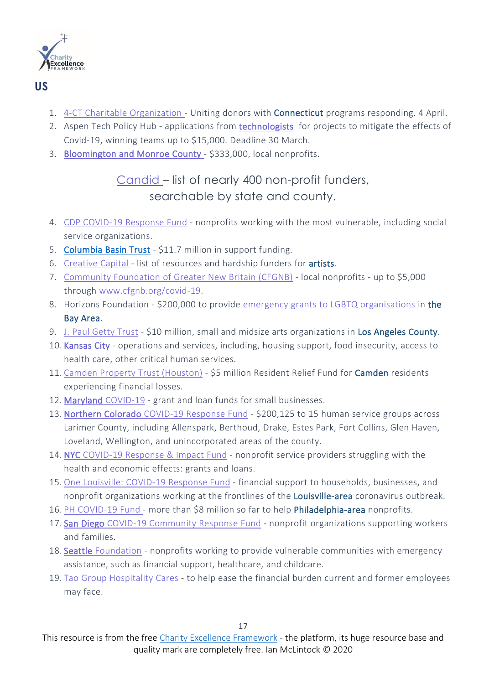

#### **US**

- 1. 4-CT Charitable [Organization](https://portal.ct.gov/Office-of-the-Governor/News/Press-Releases/2020/04-2020/Governor-Lamont-Announces-Creation-of-4CT) Uniting donors with Connecticut programs responding. 4 April.
- 2. Aspen Tech Policy Hub applications from [technologists](https://www.aspentechpolicyhub.org/covid-19-challenge-grant/) for projects to mitigate the effects of Covid-19, winning teams up to \$15,000. Deadline 30 March.
- 3. [Bloomington and Monroe County](http://www.magbloom.com/2020/04/local-nonprofits-receive-333000-in-covid-19-relief-funds/) \$333,000, local nonprofits.

## [Candid](https://candid.org/explore-issues/coronavirus/funds) – list of nearly 400 non-profit funders, searchable by state and county.

- 4. CDP [COVID-19](https://disasterphilanthropy.org/cdp-fund/cdp-covid-19-response-fund/) Response Fund nonprofits working with the most vulnerable, including social service organizations.
- 5. [Columbia Basin Trust](https://www.cranbrooktownsman.com/news/columbia-basin-trust-announces-11-7-million-in-covid-19-support-funding/) \$11.7 million in support funding.
- 6. [Creative](https://creative-capital.org/2020/03/13/list-of-arts-resources-during-the-covid-19-outbreak/) Capital list of resources and hardship funders for artists.
- 7. Community Foundation of Greater New Britain (CFGNB) local nonprofits up to \$5,000 through [www.cfgnb.org/covid-19.](https://www.cfgnb.org/covid-19)
- 8. Horizons Foundation \$200,000 to provide emergency grants to LGBTQ [organisations](https://www.horizonsfoundation.org/covid19/) in the Bay Area.
- 9. J. Paul [Getty](https://www.artforum.com/news/getty-trust-launches-10-million-covid-19-relief-fund-82666) Trust \$10 million, small and midsize arts organizations in Los Angeles County.
- 10. [Kansas City](https://www.growyourgiving.org/covid) operations and services, including, housing support, food insecurity, access to health care, other critical human services.
- 11. Camden Property Trust [\(Houston\)](https://www.businesswire.com/news/home/20200402005861/en/Camden-Property-Trust-Establishes-Resident-Relief-Fund) \$5 million Resident Relief Fund for Camden residents experiencing financial losses.
- 12. Maryland [COVID-19](https://technical.ly/baltimore/2020/04/01/how-to-apply-maryland-covid-19-coronavirus-grant-loan-funds-for-small-businesses/) grant and loan funds for small businesses.
- 13. [Northern Colorado](https://northfortynews.com/northern-colorado-covid-19-fund-issues-grants-to-local-nonprofits/) COVID-19 Response Fund \$200,125 to 15 human service groups across Larimer County, including Allenspark, Berthoud, Drake, Estes Park, Fort Collins, Glen Haven, Loveland, Wellington, and unincorporated areas of the county.
- 14. NYC [COVID-19](https://www.nycommunitytrust.org/covid19/) Response & Impact Fund nonprofit service providers struggling with the health and economic effects: grants and loans.
- 15. One [Louisville:](https://www.cflouisville.org/one-louisville/) COVID-19 Response Fund financial support to households, businesses, and nonprofit organizations working at the frontlines of the **Louisville-area** coronavirus outbreak.
- 16. PH COVID-19 Fund more than \$8 million so far to help Philadelphia-area nonprofits.
- 17. San Diego COVID-19 [Community](https://www.sdfoundation.org/programs/programs-and-funds/san-diego-covid-19-community-response-fund/) Response Fund nonprofit organizations supporting workers and families.
- 18. [Seattle Foundation](https://www.seattlefoundation.org/communityimpact/civic-leadership/covid-19-response-fund) nonprofits working to provide vulnerable communities with emergency assistance, such as financial support, healthcare, and childcare.
- 19. Tao Group [Hospitality](https://taogroup.com/taocares/) Cares to help ease the financial burden current and former employees may face.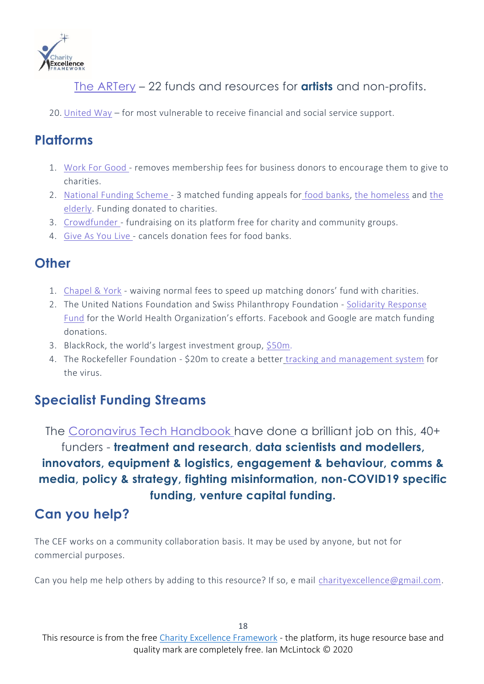

The [ARTery](https://www.wbur.org/artery/2020/03/24/grants-funds-resources-artists-nonprofits-covid-19-coronavirus) – 22 funds and resources for **artists** and non-profits.

20. [United](https://www.unitedway.org/the-latest/press/united-way-worldwide-launches-covid-19-community-response-and-recovery-fund) Way – for most vulnerable to receive financial and social service support.

## **Platforms**

- 1. [Work](https://workforgood.co.uk/) For Good removes membership fees for business donors to encourage them to give to charities.
- 2. [National](https://www.nationalfundingscheme.org/) Funding Scheme 3 matched funding appeals for food [banks,](https://platform.nationalfundingscheme.org/FOODBANK?charity=foodbank#.XndBMYj7RPY) the [homeless](https://platform.nationalfundingscheme.org/HOMELESS?charity=homeless#.Xnc_04j7RPY) and [the](https://platform.nationalfundingscheme.org/Elderly?charity=elderly#.XndAQ4j7RPY) [elderly.](https://platform.nationalfundingscheme.org/Elderly?charity=elderly#.XndAQ4j7RPY) Funding donated to charities.
- 3. [Crowdfunder](https://www.crowdfunder.co.uk/funds/coronavirus-crisis) fundraising on its platform free for charity and community groups.
- 4. [Give](https://fundraising.co.uk/2020/03/20/give-as-you-live-donate-cancels-donation-fees-for-food-banks/) As You Live cancels donation fees for food banks.

## **Other**

- 1. [Chapel](https://chapel-york.com/emergency-affiliate-memberships/#Learn) & York waiving normal fees to speed up matching donors' fund with charities.
- 2. The United Nations Foundation and Swiss Philanthropy Foundation Solidarity [Response](https://www.covid19responsefund.org/) [Fund](https://www.covid19responsefund.org/) for the World Health Organization's efforts. Facebook and Google are match funding donations.
- 3. BlackRock, the world's largest investment group, [\\$50m.](https://www.theguardian.com/business/2020/mar/23/blackrock-us-fund-vulnerable-people-covid-19-outbreak-uk)
- 4. The Rockefeller Foundation \$20m to create a better tracking and [management](https://www.rockefellerfoundation.org/about-us/news-media/the-rockefeller-foundation-commits-20-million-in-covid-19-assistance-to-strengthen-global-pandemic-preparedness-and-support-vulnerable-communities/?utm_source=LinkedIn&utm_medium=organic_social&utm_campaign=Philanthropy&utm_content=PRCorona/?1236&utm_source=Black+Fox+Marketing+Emails&utm_campaign=9832b2a4f2-EMAIL_CAMPAIGN_12_17_2018_11_26_COPY_01&utm_medium=email&utm_term=0_7cd2da1011-9832b2a4f2-217778009&mc_cid=9832b2a4f2&mc_eid=c4a357e4c8) system for the virus.

## **Specialist Funding Streams**

The [Coronavirus](https://coronavirustechhandbook.com/funding) Tech Handbook have done a brilliant job on this, 40+ funders - **treatment and research**, **data scientists and modellers, innovators, equipment & logistics, engagement & behaviour, comms & media, policy & strategy, fighting misinformation, non-COVID19 specific funding, venture capital funding.**

## **Can you help?**

The CEF works on a community collaboration basis. It may be used by anyone, but not for commercial purposes.

Can you help me help others by adding to this resource? If so, e mail [charityexcellence@gmail.com.](http://charityexcellence@gmail.com/)